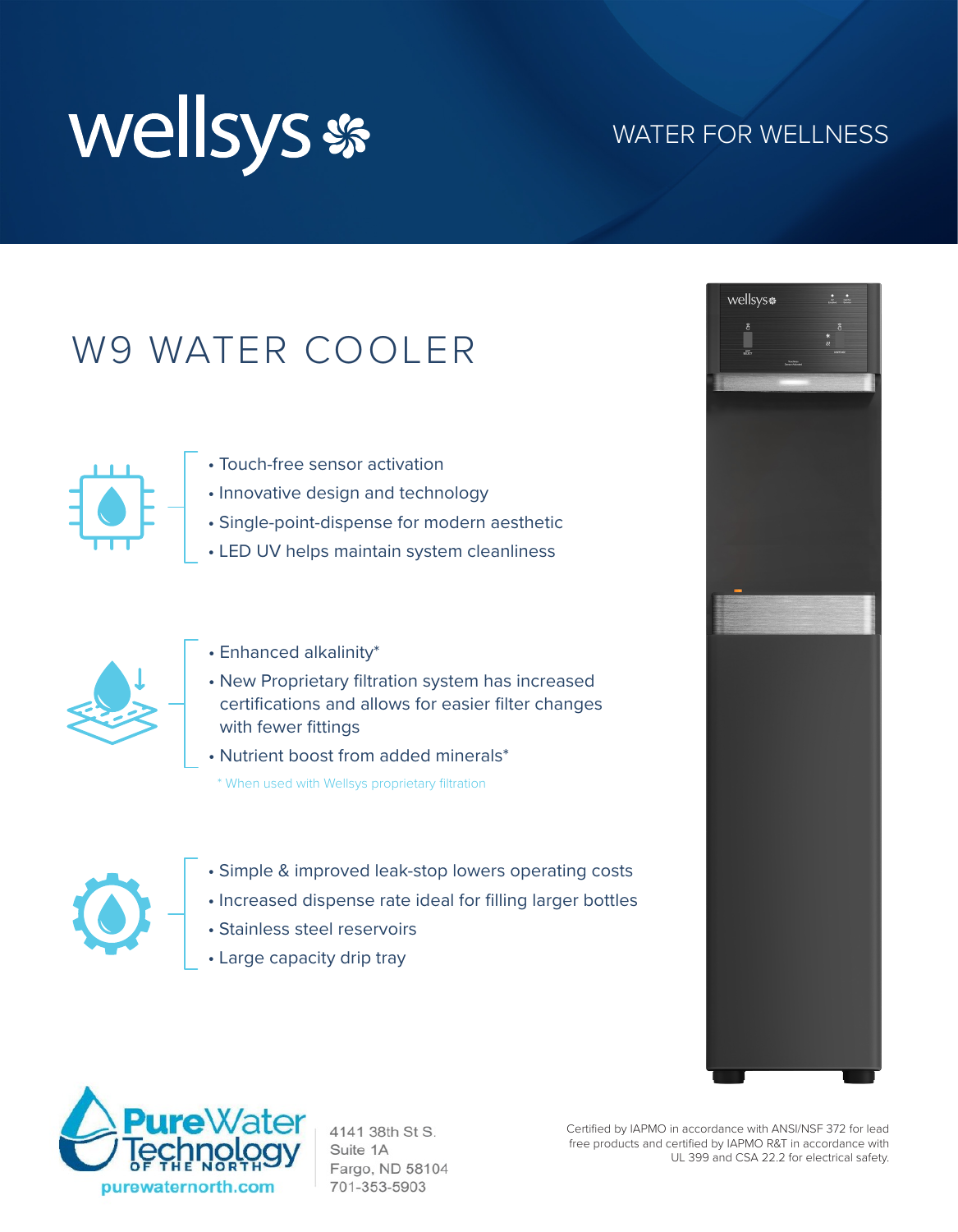

#### WATER FOR WELLNESS

## W9 WATER COOLER



- Touch-free sensor activation
- Innovative design and technology
- Single-point-dispense for modern aesthetic
- LED UV helps maintain system cleanliness



- Enhanced alkalinity\*
- New Proprietary filtration system has increased certifications and allows for easier filter changes with fewer fittings
- Nutrient boost from added minerals\*

\* When used with Wellsys proprietary filtration



- Simple & improved leak-stop lowers operating costs
- Increased dispense rate ideal for filling larger bottles
- Stainless steel reservoirs
- Large capacity drip tray





4141 38th St S. Suite 1A Fargo, ND 58104 701-353-5903

Certified by IAPMO in accordance with ANSI/NSF 372 for lead free products and certified by IAPMO R&T in accordance with UL 399 and CSA 22.2 for electrical safety.